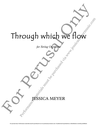# Through which we flow Through which we flow

*for String Orchestra*

### JESSICA MEYER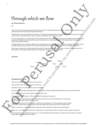## Through which we flow

*for String Orchestra* 

**10'**

This work is based on assertions found in Masaru Emoto's book "The Hidden Messages in Water", which can be interpreted as a more spiritual extension of String Theory/Quantum mechanics.

String Theory is about how objects in our universe are composed of vibrating filaments (strings) and membranes (branes) of energy, and the author asserts that the best vehicle to capture and transport these vibrations is water.

His way of proving this was to take pictures of the crystals formed in frozen water after being exposed to different kinds of music and concentrated thoughts directed towards the water. The results were a visual representation of the manifestation of variations of positive and negative emotions.

"Through which we flow" embodies different sonic manifestations of joy, hate, and prayer - using the resonances specifically created by string instruments and the unique acoustic of the church itself to remind us of the power of our own thoughts and actions.

This is piece is dedicated to Julian Wachner, Melissa Baker, Walker Beard, Joshua Anand Slater, Avi Stein, and Harrison Joyce for their tireless work in making Trinity Wall Street an important musical institution here in NYC.

**SEATING Cello 2** Bass 2 **1** Violin 4 Violin 2 Cello 1 Bass 1 Violin 3 Violin 1 Viola 2 Viola 2 Viola 2 Viola 2 Viola 2 Viola 2 Viola 2 Viola 2 Viola 2 Viola 2 Viola 2 Viola 2 Viola 2 Viola 2 Viola 2 Viola 2 Viola 2 Viola 2 Viola 2 Viola 2 Viola 2 Viola 2 Viola 2 Viola 2 Viola 2 Viol **PEFORMANCE NOTES** Violas must sit on the outside for them to be heard well There should be more bass players on Part 1 than Part 2 Glissandi are always over the full value of the note duration All accents should be sharp and pointed because they are part of a larger antiphonal melody being passed around the orchestra If a note does not have an accent, sustain through to create a line Bass  $2$  should have a  $C$  extension. If this is not possible, then please transpose up Bowings that appear floating in the middle of a measure indicate that one should change bows at some point, but not at the same time as the rest of the section Upper Strings measures 81-86: bow vibrato is achieved by sustaining the bow while pulsating certain rhythms. Arrows show rhythms that are to get faster towards the middle of the measure, then slower towards the end Cellos at measure 101: each individual player plays these swells violently in reaction to their stand partner Violins at G: have a different pitch than your stand partner, and play sharp accents in reaction to what is going on around you Tutti strings (except for violin solo) measures 177 - end: all individually pulsate rhythms in reaction to others within the orchestra using a gentle and shimmering bow vibrato. Through which we flow<br>
the series of only the contract of the contract of the contract of the contract of the contract of the contract of the contract of the contract of the contract of the contract of the contract of the  $\frac{1}{2}$ <br>  $\frac{1}{2}$ <br>  $\frac{1}{2}$ <br>  $\frac{1}{2}$ <br>  $\frac{1}{2}$ <br>  $\frac{1}{2}$ <br>  $\frac{1}{2}$ <br>  $\frac{1}{2}$ <br>  $\frac{1}{2}$ <br>  $\frac{1}{2}$ <br>  $\frac{1}{2}$ <br>  $\frac{1}{2}$ <br>  $\frac{1}{2}$ <br>  $\frac{1}{2}$ <br>  $\frac{1}{2}$ <br>  $\frac{1}{2}$ <br>  $\frac{1}{2}$ <br>  $\frac{1}{2}$ <br>  $\frac{1}{2}$ <br>  $\frac{1}{2}$ <br>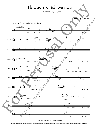# Through which we flow

*Commissioned by NOVUS NY of Trinity Wall Street* 

3



©2017 JMM Publishing (BMI). All rights reserved.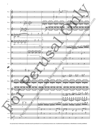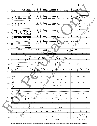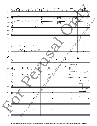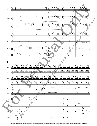

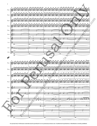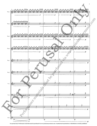![](_page_8_Figure_0.jpeg)

9

**For perusal only. Performance materials must be purchased via www.jessicameyermusic.com. Unauthorized reproduction or distribution is strictly prohibited.**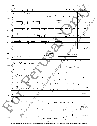![](_page_9_Figure_0.jpeg)

**For perusal only. Performance materials must be purchased via www.jessicameyermusic.com. Unauthorized reproduction or distribution is strictly prohibited.**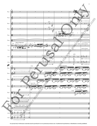![](_page_10_Figure_0.jpeg)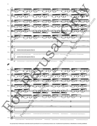![](_page_11_Figure_0.jpeg)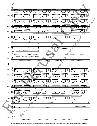![](_page_12_Figure_0.jpeg)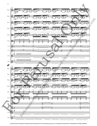![](_page_13_Figure_0.jpeg)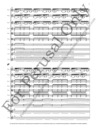![](_page_14_Figure_0.jpeg)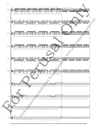![](_page_15_Figure_0.jpeg)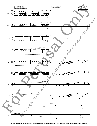![](_page_16_Figure_0.jpeg)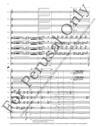![](_page_17_Figure_0.jpeg)

18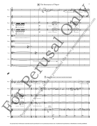### **H** The Resonance of Prayer

19

![](_page_18_Figure_1.jpeg)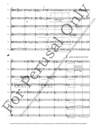![](_page_19_Figure_0.jpeg)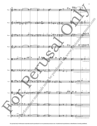![](_page_20_Figure_0.jpeg)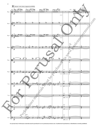![](_page_21_Figure_0.jpeg)